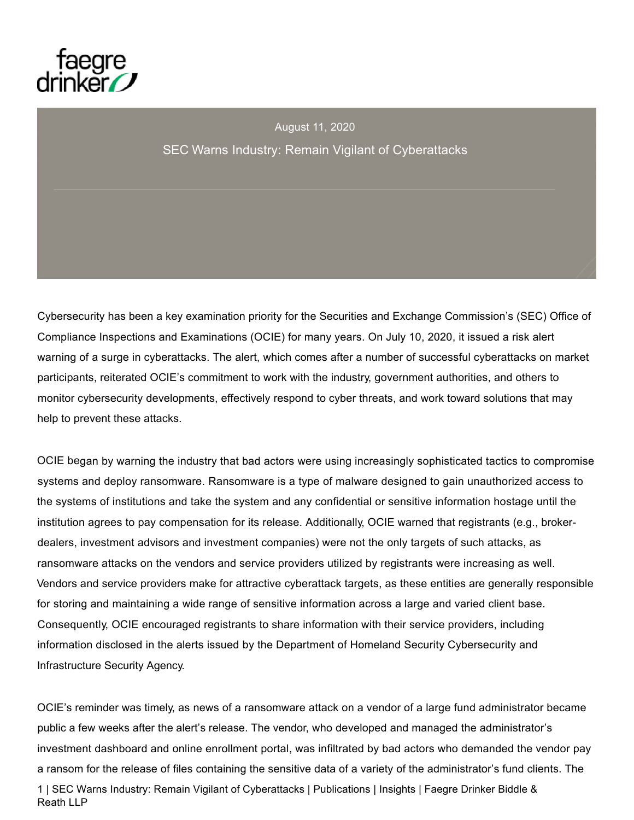

August 11, 2020 SEC Warns Industry: Remain Vigilant of Cyberattacks

Cybersecurity has been a key examination priority for the Securities and Exchange Commission's (SEC) Office of Compliance Inspections and Examinations (OCIE) for many years. On July 10, 2020, it issued a risk alert warning of a surge in cyberattacks. The alert, which comes after a number of successful cyberattacks on market participants, reiterated OCIE's commitment to work with the industry, government authorities, and others to monitor cybersecurity developments, effectively respond to cyber threats, and work toward solutions that may help to prevent these attacks.

OCIE began by warning the industry that bad actors were using increasingly sophisticated tactics to compromise systems and deploy ransomware. Ransomware is a type of malware designed to gain unauthorized access to the systems of institutions and take the system and any confidential or sensitive information hostage until the institution agrees to pay compensation for its release. Additionally, OCIE warned that registrants (e.g., brokerdealers, investment advisors and investment companies) were not the only targets of such attacks, as ransomware attacks on the vendors and service providers utilized by registrants were increasing as well. Vendors and service providers make for attractive cyberattack targets, as these entities are generally responsible for storing and maintaining a wide range of sensitive information across a large and varied client base. Consequently, OCIE encouraged registrants to share information with their service providers, including information disclosed in the alerts issued by the Department of Homeland Security Cybersecurity and Infrastructure Security Agency.

OCIE's reminder was timely, as news of a ransomware attack on a vendor of a large fund administrator became public a few weeks after the alert's release. The vendor, who developed and managed the administrator's investment dashboard and online enrollment portal, was infiltrated by bad actors who demanded the vendor pay a ransom for the release of files containing the sensitive data of a variety of the administrator's fund clients. The 1 | SEC Warns Industry: Remain Vigilant of Cyberattacks | Publications | Insights | Faegre Drinker Biddle & Reath LLP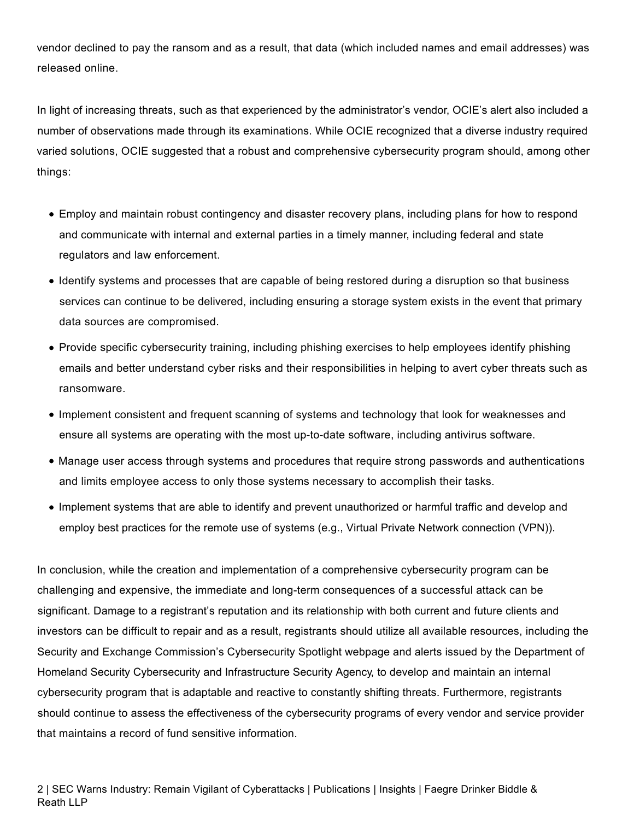vendor declined to pay the ransom and as a result, that data (which included names and email addresses) was released online.

In light of increasing threats, such as that experienced by the administrator's vendor, OCIE's alert also included a number of observations made through its examinations. While OCIE recognized that a diverse industry required varied solutions, OCIE suggested that a robust and comprehensive cybersecurity program should, among other things:

- Employ and maintain robust contingency and disaster recovery plans, including plans for how to respond and communicate with internal and external parties in a timely manner, including federal and state regulators and law enforcement.
- Identify systems and processes that are capable of being restored during a disruption so that business services can continue to be delivered, including ensuring a storage system exists in the event that primary data sources are compromised.
- Provide specific cybersecurity training, including phishing exercises to help employees identify phishing emails and better understand cyber risks and their responsibilities in helping to avert cyber threats such as ransomware.
- Implement consistent and frequent scanning of systems and technology that look for weaknesses and ensure all systems are operating with the most up-to-date software, including antivirus software.
- Manage user access through systems and procedures that require strong passwords and authentications and limits employee access to only those systems necessary to accomplish their tasks.
- Implement systems that are able to identify and prevent unauthorized or harmful traffic and develop and employ best practices for the remote use of systems (e.g., Virtual Private Network connection (VPN)).

In conclusion, while the creation and implementation of a comprehensive cybersecurity program can be challenging and expensive, the immediate and long-term consequences of a successful attack can be significant. Damage to a registrant's reputation and its relationship with both current and future clients and investors can be difficult to repair and as a result, registrants should utilize all available resources, including the Security and Exchange Commission's Cybersecurity Spotlight webpage and alerts issued by the Department of Homeland Security Cybersecurity and Infrastructure Security Agency, to develop and maintain an internal cybersecurity program that is adaptable and reactive to constantly shifting threats. Furthermore, registrants should continue to assess the effectiveness of the cybersecurity programs of every vendor and service provider that maintains a record of fund sensitive information.